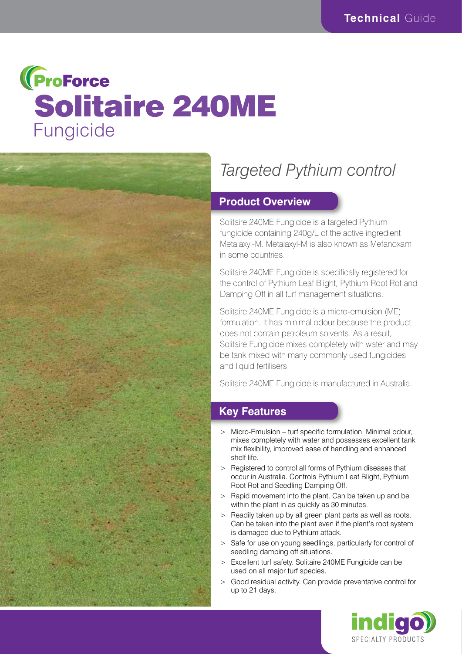# **(ProForce** Solitaire 240ME Fungicide



# *Targeted Pythium control*

#### **Product Overview**

Solitaire 240ME Fungicide is a targeted Pythium fungicide containing 240g/L of the active ingredient Metalaxyl-M. Metalaxyl-M is also known as Mefanoxam in some countries.

Solitaire 240ME Fungicide is specifically registered for the control of Pythium Leaf Blight, Pythium Root Rot and Damping Off in all turf management situations.

Solitaire 240ME Fungicide is a micro-emulsion (ME) formulation. It has minimal odour because the product does not contain petroleum solvents. As a result, Solitaire Fungicide mixes completely with water and may be tank mixed with many commonly used fungicides and liquid fertilisers.

Solitaire 240ME Fungicide is manufactured in Australia.

### **Key Features**

- > Micro-Emulsion turf specific formulation. Minimal odour, mixes completely with water and possesses excellent tank mix flexibility, improved ease of handling and enhanced shelf life.
- > Registered to control all forms of Pythium diseases that occur in Australia. Controls Pythium Leaf Blight, Pythium Root Rot and Seedling Damping Off.
- > Rapid movement into the plant. Can be taken up and be within the plant in as quickly as 30 minutes.
- > Readily taken up by all green plant parts as well as roots. Can be taken into the plant even if the plant's root system is damaged due to Pythium attack.
- > Safe for use on young seedlings, particularly for control of seedling damping off situations.
- > Excellent turf safety. Solitaire 240ME Fungicide can be used on all major turf species.
- Good residual activity. Can provide preventative control for up to 21 days.